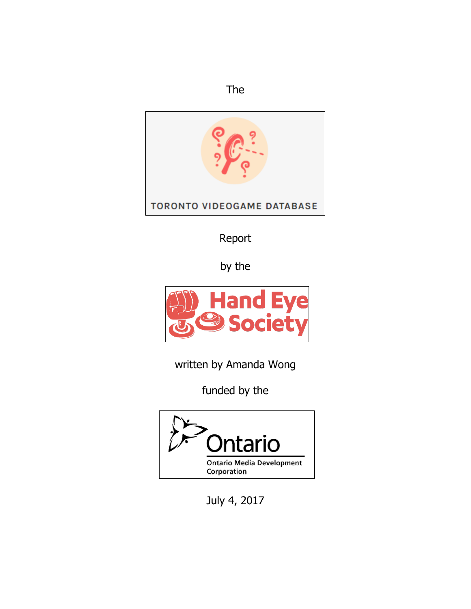



Report

by the



written by Amanda Wong

funded by the



July 4, 2017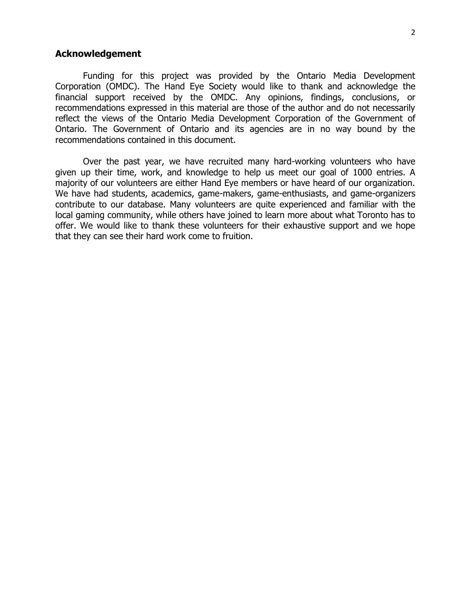## **Acknowledgement**

Funding for this project was provided by the Ontario Media Development Corporation (OMDC). The Hand Eye Society would like to thank and acknowledge the financial support received by the OMDC. Any opinions, findings, conclusions, or recommendations expressed in this material are those of the author and do not necessarily reflect the views of the Ontario Media Development Corporation of the Government of Ontario. The Government of Ontario and its agencies are in no way bound by the recommendations contained in this document.

Over the past year, we have recruited many hard-working volunteers who have given up their time, work, and knowledge to help us meet our goal of 1000 entries. A majority of our volunteers are either Hand Eye members or have heard of our organization. We have had students, academics, game-makers, game-enthusiasts, and game-organizers contribute to our database. Many volunteers are quite experienced and familiar with the local gaming community, while others have joined to learn more about what Toronto has to offer. We would like to thank these volunteers for their exhaustive support and we hope that they can see their hard work come to fruition.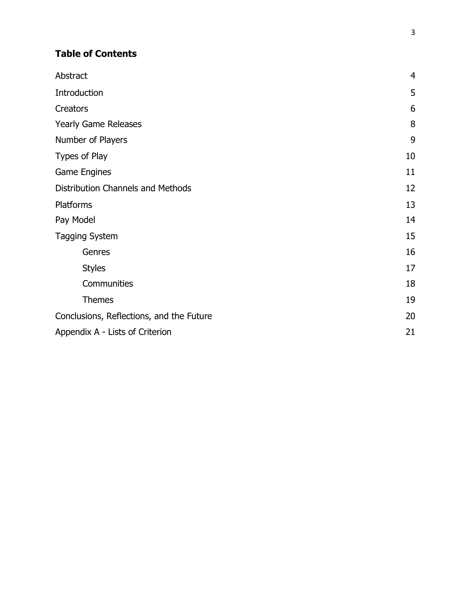# **Table of Contents**

| Abstract                                 | $\overline{4}$ |
|------------------------------------------|----------------|
| Introduction                             | 5              |
| <b>Creators</b>                          | 6              |
| <b>Yearly Game Releases</b>              | 8              |
| Number of Players                        | 9              |
| Types of Play                            | 10             |
| Game Engines                             | 11             |
| Distribution Channels and Methods        | 12             |
| <b>Platforms</b>                         | 13             |
| Pay Model                                | 14             |
| <b>Tagging System</b>                    | 15             |
| Genres                                   | 16             |
| <b>Styles</b>                            | 17             |
| Communities                              | 18             |
| <b>Themes</b>                            | 19             |
| Conclusions, Reflections, and the Future | 20             |
| Appendix A - Lists of Criterion          | 21             |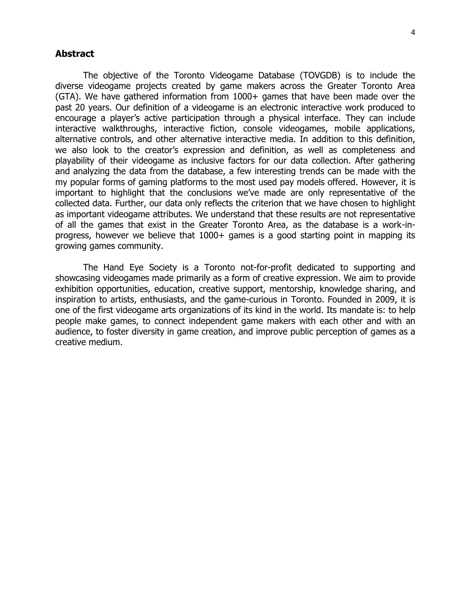### **Abstract**

The objective of the Toronto Videogame Database (TOVGDB) is to include the diverse videogame projects created by game makers across the Greater Toronto Area (GTA). We have gathered information from 1000+ games that have been made over the past 20 years. Our definition of a videogame is an electronic interactive work produced to encourage a player's active participation through a physical interface. They can include interactive walkthroughs, interactive fiction, console videogames, mobile applications, alternative controls, and other alternative interactive media. In addition to this definition, we also look to the creator's expression and definition, as well as completeness and playability of their videogame as inclusive factors for our data collection. After gathering and analyzing the data from the database, a few interesting trends can be made with the my popular forms of gaming platforms to the most used pay models offered. However, it is important to highlight that the conclusions we've made are only representative of the collected data. Further, our data only reflects the criterion that we have chosen to highlight as important videogame attributes. We understand that these results are not representative of all the games that exist in the Greater Toronto Area, as the database is a work-inprogress, however we believe that 1000+ games is a good starting point in mapping its growing games community.

The Hand Eye Society is a Toronto not-for-profit dedicated to supporting and showcasing videogames made primarily as a form of creative expression. We aim to provide exhibition opportunities, education, creative support, mentorship, knowledge sharing, and inspiration to artists, enthusiasts, and the game-curious in Toronto. Founded in 2009, it is one of the first videogame arts organizations of its kind in the world. Its mandate is: to help people make games, to connect independent game makers with each other and with an audience, to foster diversity in game creation, and improve public perception of games as a creative medium.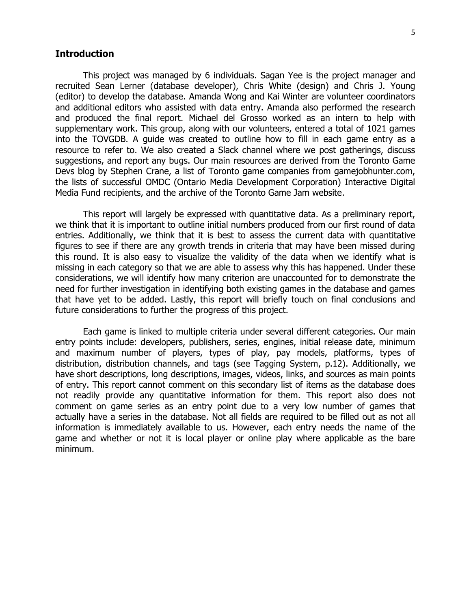# **Introduction**

This project was managed by 6 individuals. Sagan Yee is the project manager and recruited Sean Lerner (database developer), Chris White (design) and Chris J. Young (editor) to develop the database. Amanda Wong and Kai Winter are volunteer coordinators and additional editors who assisted with data entry. Amanda also performed the research and produced the final report. Michael del Grosso worked as an intern to help with supplementary work. This group, along with our volunteers, entered a total of 1021 games into the TOVGDB. A guide was created to outline how to fill in each game entry as a resource to refer to. We also created a Slack channel where we post gatherings, discuss suggestions, and report any bugs. Our main resources are derived from the Toronto Game Devs blog by Stephen Crane, a list of Toronto game companies from gamejobhunter.com, the lists of successful OMDC (Ontario Media Development Corporation) Interactive Digital Media Fund recipients, and the archive of the Toronto Game Jam website.

This report will largely be expressed with quantitative data. As a preliminary report, we think that it is important to outline initial numbers produced from our first round of data entries. Additionally, we think that it is best to assess the current data with quantitative figures to see if there are any growth trends in criteria that may have been missed during this round. It is also easy to visualize the validity of the data when we identify what is missing in each category so that we are able to assess why this has happened. Under these considerations, we will identify how many criterion are unaccounted for to demonstrate the need for further investigation in identifying both existing games in the database and games that have yet to be added. Lastly, this report will briefly touch on final conclusions and future considerations to further the progress of this project.

Each game is linked to multiple criteria under several different categories. Our main entry points include: developers, publishers, series, engines, initial release date, minimum and maximum number of players, types of play, pay models, platforms, types of distribution, distribution channels, and tags (see Tagging System, p.12). Additionally, we have short descriptions, long descriptions, images, videos, links, and sources as main points of entry. This report cannot comment on this secondary list of items as the database does not readily provide any quantitative information for them. This report also does not comment on game series as an entry point due to a very low number of games that actually have a series in the database. Not all fields are required to be filled out as not all information is immediately available to us. However, each entry needs the name of the game and whether or not it is local player or online play where applicable as the bare minimum.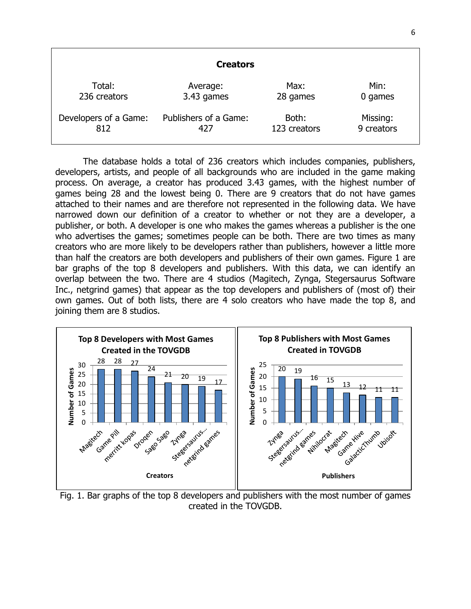|                       | <b>Creators</b>       |              |            |
|-----------------------|-----------------------|--------------|------------|
| Total:                | Average:              | Max:         | Min:       |
| 236 creators          | 3.43 games            | 28 games     | 0 games    |
| Developers of a Game: | Publishers of a Game: | Both:        | Missing:   |
| 812                   | 427                   | 123 creators | 9 creators |

The database holds a total of 236 creators which includes companies, publishers, developers, artists, and people of all backgrounds who are included in the game making process. On average, a creator has produced 3.43 games, with the highest number of games being 28 and the lowest being 0. There are 9 creators that do not have games attached to their names and are therefore not represented in the following data. We have narrowed down our definition of a creator to whether or not they are a developer, a publisher, or both. A developer is one who makes the games whereas a publisher is the one who advertises the games; sometimes people can be both. There are two times as many creators who are more likely to be developers rather than publishers, however a little more than half the creators are both developers and publishers of their own games. Figure 1 are bar graphs of the top 8 developers and publishers. With this data, we can identify an overlap between the two. There are 4 studios (Magitech, Zynga, Stegersaurus Software Inc., netgrind games) that appear as the top developers and publishers of (most of) their own games. Out of both lists, there are 4 solo creators who have made the top 8, and joining them are 8 studios.



Fig. 1. Bar graphs of the top 8 developers and publishers with the most number of games created in the TOVGDB.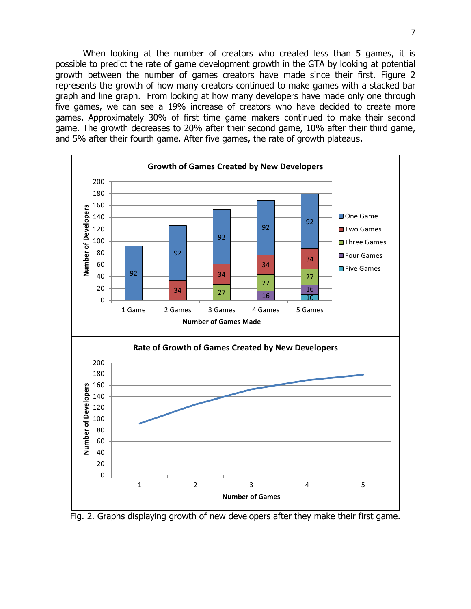When looking at the number of creators who created less than 5 games, it is possible to predict the rate of game development growth in the GTA by looking at potential growth between the number of games creators have made since their first. Figure 2 represents the growth of how many creators continued to make games with a stacked bar graph and line graph. From looking at how many developers have made only one through five games, we can see a 19% increase of creators who have decided to create more games. Approximately 30% of first time game makers continued to make their second game. The growth decreases to 20% after their second game, 10% after their third game, and 5% after their fourth game. After five games, the rate of growth plateaus.



Fig. 2. Graphs displaying growth of new developers after they make their first game.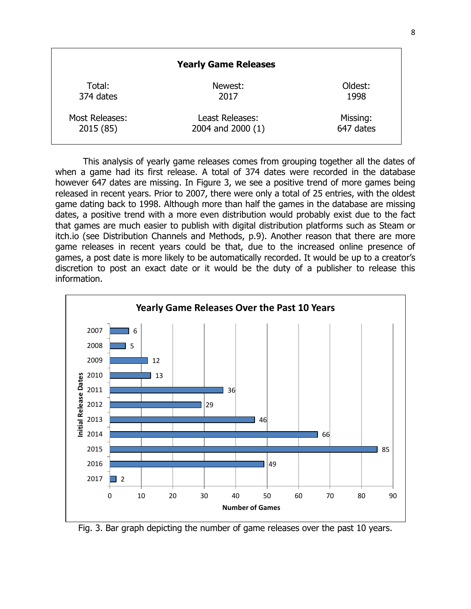|                | <b>Yearly Game Releases</b> |           |
|----------------|-----------------------------|-----------|
| Total:         | Newest:                     | Oldest:   |
| 374 dates      | 2017                        | 1998      |
| Most Releases: | Least Releases:             | Missing:  |
| 2015 (85)      | 2004 and 2000 (1)           | 647 dates |

This analysis of yearly game releases comes from grouping together all the dates of when a game had its first release. A total of 374 dates were recorded in the database however 647 dates are missing. In Figure 3, we see a positive trend of more games being released in recent years. Prior to 2007, there were only a total of 25 entries, with the oldest game dating back to 1998. Although more than half the games in the database are missing dates, a positive trend with a more even distribution would probably exist due to the fact that games are much easier to publish with digital distribution platforms such as Steam or itch.io (see Distribution Channels and Methods, p.9). Another reason that there are more game releases in recent years could be that, due to the increased online presence of games, a post date is more likely to be automatically recorded. It would be up to a creator's discretion to post an exact date or it would be the duty of a publisher to release this information.



Fig. 3. Bar graph depicting the number of game releases over the past 10 years.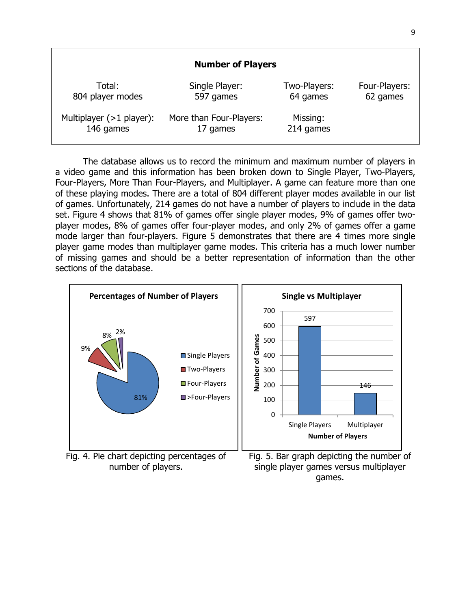|                            | <b>Number of Players</b> |              |               |
|----------------------------|--------------------------|--------------|---------------|
| Total:                     | Single Player:           | Two-Players: | Four-Players: |
| 804 player modes           | 597 games                | 64 games     | 62 games      |
| Multiplayer $(>1$ player): | More than Four-Players:  | Missing:     |               |
| 146 games                  | 17 games                 | 214 games    |               |

The database allows us to record the minimum and maximum number of players in a video game and this information has been broken down to Single Player, Two-Players, Four-Players, More Than Four-Players, and Multiplayer. A game can feature more than one of these playing modes. There are a total of 804 different player modes available in our list of games. Unfortunately, 214 games do not have a number of players to include in the data set. Figure 4 shows that 81% of games offer single player modes, 9% of games offer twoplayer modes, 8% of games offer four-player modes, and only 2% of games offer a game mode larger than four-players. Figure 5 demonstrates that there are 4 times more single player game modes than multiplayer game modes. This criteria has a much lower number of missing games and should be a better representation of information than the other sections of the database.



number of players.

single player games versus multiplayer games.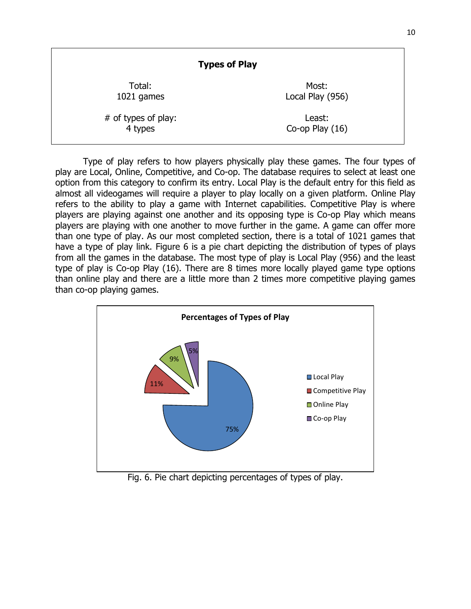| <b>Types of Play</b> |                   |
|----------------------|-------------------|
| Total:               | Most:             |
| 1021 games           | Local Play (956)  |
| # of types of play:  | Least:            |
| 4 types              | Co-op Play $(16)$ |

Type of play refers to how players physically play these games. The four types of play are Local, Online, Competitive, and Co-op. The database requires to select at least one option from this category to confirm its entry. Local Play is the default entry for this field as almost all videogames will require a player to play locally on a given platform. Online Play refers to the ability to play a game with Internet capabilities. Competitive Play is where players are playing against one another and its opposing type is Co-op Play which means players are playing with one another to move further in the game. A game can offer more than one type of play. As our most completed section, there is a total of 1021 games that have a type of play link. Figure 6 is a pie chart depicting the distribution of types of plays from all the games in the database. The most type of play is Local Play (956) and the least type of play is Co-op Play (16). There are 8 times more locally played game type options than online play and there are a little more than 2 times more competitive playing games than co-op playing games.



Fig. 6. Pie chart depicting percentages of types of play.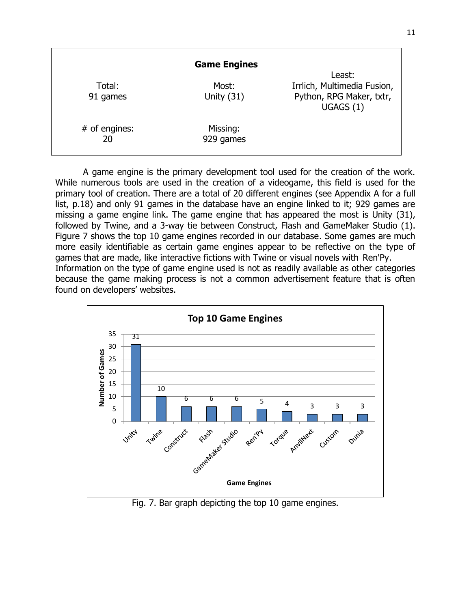|                       | <b>Game Engines</b>   |                                                                                |
|-----------------------|-----------------------|--------------------------------------------------------------------------------|
| Total:<br>91 games    | Most:<br>Unity $(31)$ | Least:<br>Irrlich, Multimedia Fusion,<br>Python, RPG Maker, txtr,<br>UGAGS (1) |
| $#$ of engines:<br>20 | Missing:<br>929 games |                                                                                |

A game engine is the primary development tool used for the creation of the work. While numerous tools are used in the creation of a videogame, this field is used for the primary tool of creation. There are a total of 20 different engines (see Appendix A for a full list, p.18) and only 91 games in the database have an engine linked to it; 929 games are missing a game engine link. The game engine that has appeared the most is Unity (31), followed by Twine, and a 3-way tie between Construct, Flash and GameMaker Studio (1). Figure 7 shows the top 10 game engines recorded in our database. Some games are much more easily identifiable as certain game engines appear to be reflective on the type of games that are made, like interactive fictions with Twine or visual novels with Ren'Py. Information on the type of game engine used is not as readily available as other categories because the game making process is not a common advertisement feature that is often found on developers' websites.



Fig. 7. Bar graph depicting the top 10 game engines.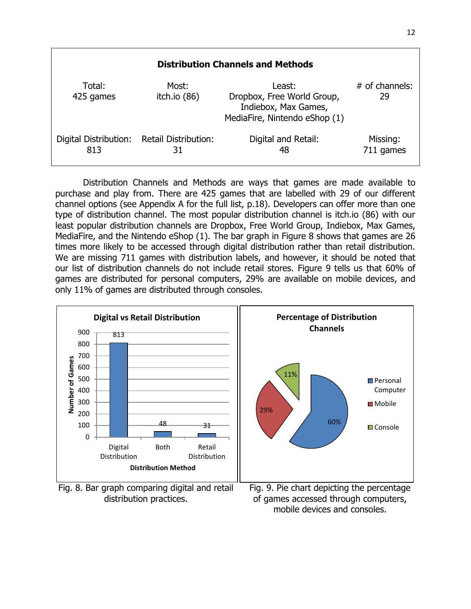| <b>Distribution Channels and Methods</b> |                                   |                                                                                               |                        |
|------------------------------------------|-----------------------------------|-----------------------------------------------------------------------------------------------|------------------------|
| Total:<br>425 games                      | Most:<br>itch.io $(86)$           | Least:<br>Dropbox, Free World Group,<br>Indiebox, Max Games,<br>MediaFire, Nintendo eShop (1) | $#$ of channels:<br>29 |
| Digital Distribution:<br>813             | <b>Retail Distribution:</b><br>31 | Digital and Retail:<br>48                                                                     | Missing:<br>711 games  |

Distribution Channels and Methods are ways that games are made available to purchase and play from. There are 425 games that are labelled with 29 of our different channel options (see Appendix A for the full list, p.18). Developers can offer more than one type of distribution channel. The most popular distribution channel is itch.io (86) with our least popular distribution channels are Dropbox, Free World Group, Indiebox, Max Games, MediaFire, and the Nintendo eShop (1). The bar graph in Figure 8 shows that games are 26 times more likely to be accessed through digital distribution rather than retail distribution. We are missing 711 games with distribution labels, and however, it should be noted that our list of distribution channels do not include retail stores. Figure 9 tells us that 60% of games are distributed for personal computers, 29% are available on mobile devices, and only 11% of games are distributed through consoles.



Fig. 8. Bar graph comparing digital and retail distribution practices.



Fig. 9. Pie chart depicting the percentage of games accessed through computers, mobile devices and consoles.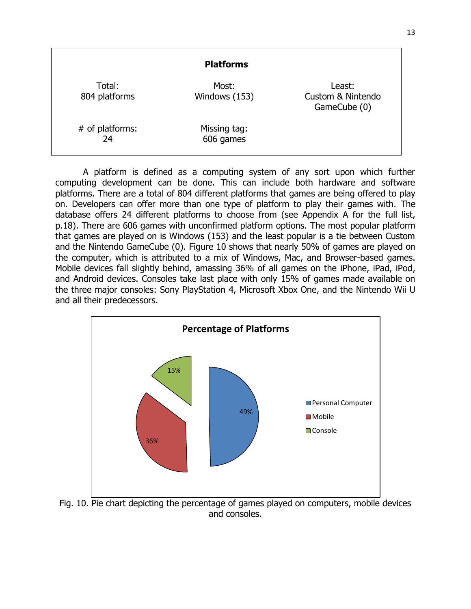|                         | <b>Platforms</b>          |                                             |
|-------------------------|---------------------------|---------------------------------------------|
| Total:<br>804 platforms | Most:<br>Windows (153)    | Least:<br>Custom & Nintendo<br>GameCube (0) |
| # of platforms:<br>24   | Missing tag:<br>606 games |                                             |

A platform is defined as a computing system of any sort upon which further computing development can be done. This can include both hardware and software platforms. There are a total of 804 different platforms that games are being offered to play on. Developers can offer more than one type of platform to play their games with. The database offers 24 different platforms to choose from (see Appendix A for the full list, p.18). There are 606 games with unconfirmed platform options. The most popular platform that games are played on is Windows (153) and the least popular is a tie between Custom and the Nintendo GameCube (0). Figure 10 shows that nearly 50% of games are played on the computer, which is attributed to a mix of Windows, Mac, and Browser-based games. Mobile devices fall slightly behind, amassing 36% of all games on the iPhone, iPad, iPod, and Android devices. Consoles take last place with only 15% of games made available on the three major consoles: Sony PlayStation 4, Microsoft Xbox One, and the Nintendo Wii U and all their predecessors.



Fig. 10. Pie chart depicting the percentage of games played on computers, mobile devices and consoles.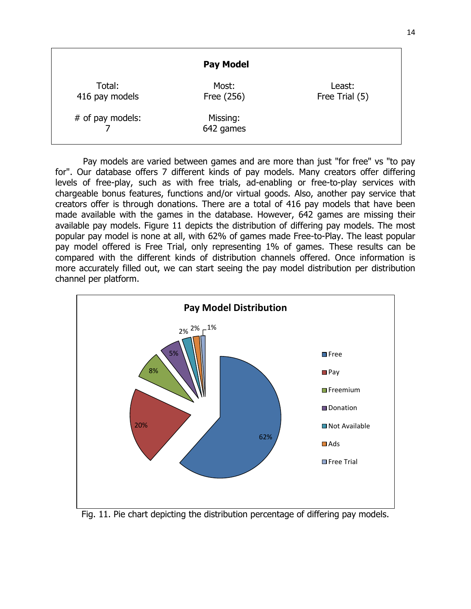|                          | <b>Pay Model</b>      |                          |
|--------------------------|-----------------------|--------------------------|
| Total:<br>416 pay models | Most:<br>Free (256)   | Least:<br>Free Trial (5) |
| # of pay models:         | Missing:<br>642 games |                          |

14

Pay models are varied between games and are more than just "for free" vs "to pay for". Our database offers 7 different kinds of pay models. Many creators offer differing levels of free-play, such as with free trials, ad-enabling or free-to-play services with chargeable bonus features, functions and/or virtual goods. Also, another pay service that creators offer is through donations. There are a total of 416 pay models that have been made available with the games in the database. However, 642 games are missing their available pay models. Figure 11 depicts the distribution of differing pay models. The most popular pay model is none at all, with 62% of games made Free-to-Play. The least popular pay model offered is Free Trial, only representing 1% of games. These results can be compared with the different kinds of distribution channels offered. Once information is more accurately filled out, we can start seeing the pay model distribution per distribution channel per platform.

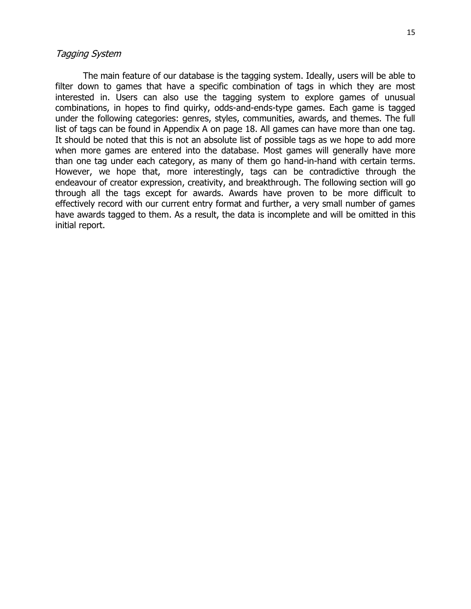#### Tagging System

The main feature of our database is the tagging system. Ideally, users will be able to filter down to games that have a specific combination of tags in which they are most interested in. Users can also use the tagging system to explore games of unusual combinations, in hopes to find quirky, odds-and-ends-type games. Each game is tagged under the following categories: genres, styles, communities, awards, and themes. The full list of tags can be found in Appendix A on page 18. All games can have more than one tag. It should be noted that this is not an absolute list of possible tags as we hope to add more when more games are entered into the database. Most games will generally have more than one tag under each category, as many of them go hand-in-hand with certain terms. However, we hope that, more interestingly, tags can be contradictive through the endeavour of creator expression, creativity, and breakthrough. The following section will go through all the tags except for awards. Awards have proven to be more difficult to effectively record with our current entry format and further, a very small number of games have awards tagged to them. As a result, the data is incomplete and will be omitted in this initial report.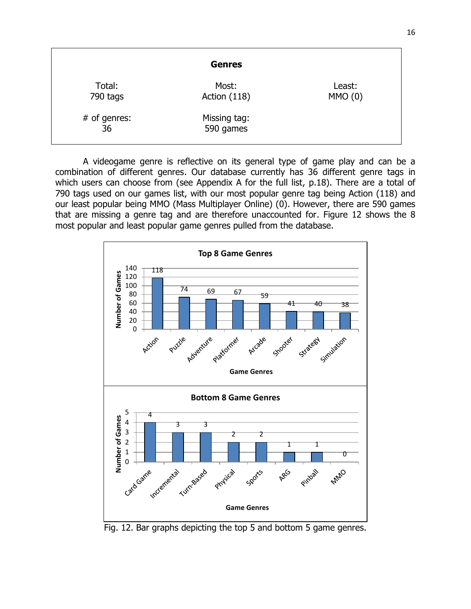|                      | <b>Genres</b>             |                   |
|----------------------|---------------------------|-------------------|
| Total:<br>790 tags   | Most:<br>Action (118)     | Least:<br>MMO (0) |
| $#$ of genres:<br>36 | Missing tag:<br>590 games |                   |

A videogame genre is reflective on its general type of game play and can be a combination of different genres. Our database currently has 36 different genre tags in which users can choose from (see Appendix A for the full list, p.18). There are a total of 790 tags used on our games list, with our most popular genre tag being Action (118) and our least popular being MMO (Mass Multiplayer Online) (0). However, there are 590 games that are missing a genre tag and are therefore unaccounted for. Figure 12 shows the 8 most popular and least popular game genres pulled from the database.



Fig. 12. Bar graphs depicting the top 5 and bottom 5 game genres.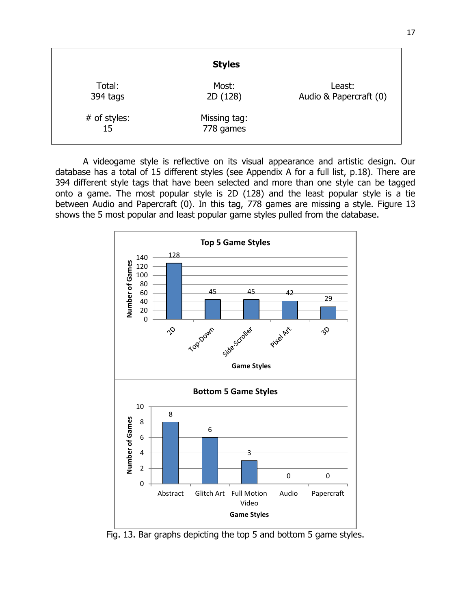|                    | <b>Styles</b>             |                                  |
|--------------------|---------------------------|----------------------------------|
| Total:<br>394 tags | Most:<br>2D (128)         | Least:<br>Audio & Papercraft (0) |
| # of styles:<br>15 | Missing tag:<br>778 games |                                  |

A videogame style is reflective on its visual appearance and artistic design. Our database has a total of 15 different styles (see Appendix A for a full list, p.18). There are 394 different style tags that have been selected and more than one style can be tagged onto a game. The most popular style is 2D (128) and the least popular style is a tie between Audio and Papercraft (0). In this tag, 778 games are missing a style. Figure 13 shows the 5 most popular and least popular game styles pulled from the database.



Fig. 13. Bar graphs depicting the top 5 and bottom 5 game styles.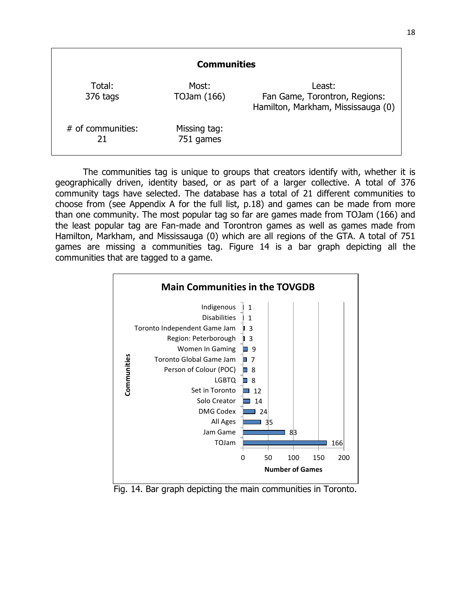| <b>Communities</b>        |                           |                                                                               |
|---------------------------|---------------------------|-------------------------------------------------------------------------------|
| Total:<br>376 tags        | Most:<br>TOJam (166)      | Least:<br>Fan Game, Torontron, Regions:<br>Hamilton, Markham, Mississauga (0) |
| $#$ of communities:<br>21 | Missing tag:<br>751 games |                                                                               |

The communities tag is unique to groups that creators identify with, whether it is geographically driven, identity based, or as part of a larger collective. A total of 376 community tags have selected. The database has a total of 21 different communities to choose from (see Appendix A for the full list, p.18) and games can be made from more than one community. The most popular tag so far are games made from TOJam (166) and the least popular tag are Fan-made and Torontron games as well as games made from Hamilton, Markham, and Mississauga (0) which are all regions of the GTA. A total of 751 games are missing a communities tag. Figure 14 is a bar graph depicting all the communities that are tagged to a game.



Fig. 14. Bar graph depicting the main communities in Toronto.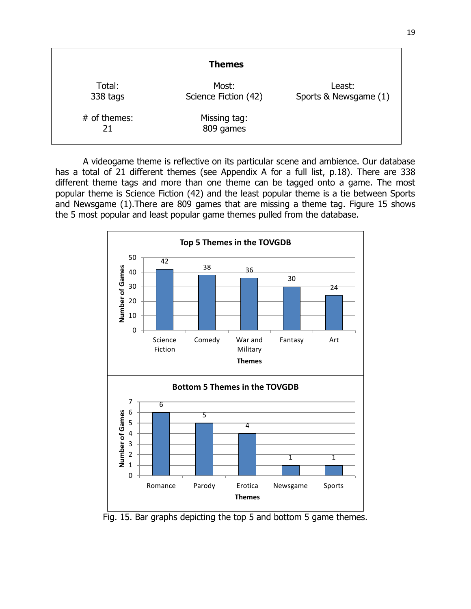| <b>Themes</b>        |                               |                                 |  |  |
|----------------------|-------------------------------|---------------------------------|--|--|
| Total:<br>338 tags   | Most:<br>Science Fiction (42) | Least:<br>Sports & Newsgame (1) |  |  |
| $#$ of themes:<br>21 | Missing tag:<br>809 games     |                                 |  |  |

A videogame theme is reflective on its particular scene and ambience. Our database has a total of 21 different themes (see Appendix A for a full list, p.18). There are 338 different theme tags and more than one theme can be tagged onto a game. The most popular theme is Science Fiction (42) and the least popular theme is a tie between Sports and Newsgame (1).There are 809 games that are missing a theme tag. Figure 15 shows the 5 most popular and least popular game themes pulled from the database.



Fig. 15. Bar graphs depicting the top 5 and bottom 5 game themes.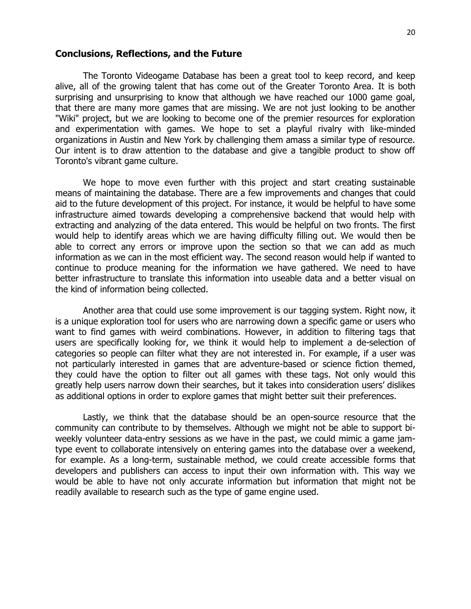# **Conclusions, Reflections, and the Future**

The Toronto Videogame Database has been a great tool to keep record, and keep alive, all of the growing talent that has come out of the Greater Toronto Area. It is both surprising and unsurprising to know that although we have reached our 1000 game goal, that there are many more games that are missing. We are not just looking to be another "Wiki" project, but we are looking to become one of the premier resources for exploration and experimentation with games. We hope to set a playful rivalry with like-minded organizations in Austin and New York by challenging them amass a similar type of resource. Our intent is to draw attention to the database and give a tangible product to show off Toronto's vibrant game culture.

We hope to move even further with this project and start creating sustainable means of maintaining the database. There are a few improvements and changes that could aid to the future development of this project. For instance, it would be helpful to have some infrastructure aimed towards developing a comprehensive backend that would help with extracting and analyzing of the data entered. This would be helpful on two fronts. The first would help to identify areas which we are having difficulty filling out. We would then be able to correct any errors or improve upon the section so that we can add as much information as we can in the most efficient way. The second reason would help if wanted to continue to produce meaning for the information we have gathered. We need to have better infrastructure to translate this information into useable data and a better visual on the kind of information being collected.

Another area that could use some improvement is our tagging system. Right now, it is a unique exploration tool for users who are narrowing down a specific game or users who want to find games with weird combinations. However, in addition to filtering tags that users are specifically looking for, we think it would help to implement a de-selection of categories so people can filter what they are not interested in. For example, if a user was not particularly interested in games that are adventure-based or science fiction themed, they could have the option to filter out all games with these tags. Not only would this greatly help users narrow down their searches, but it takes into consideration users' dislikes as additional options in order to explore games that might better suit their preferences.

Lastly, we think that the database should be an open-source resource that the community can contribute to by themselves. Although we might not be able to support biweekly volunteer data-entry sessions as we have in the past, we could mimic a game jamtype event to collaborate intensively on entering games into the database over a weekend, for example. As a long-term, sustainable method, we could create accessible forms that developers and publishers can access to input their own information with. This way we would be able to have not only accurate information but information that might not be readily available to research such as the type of game engine used.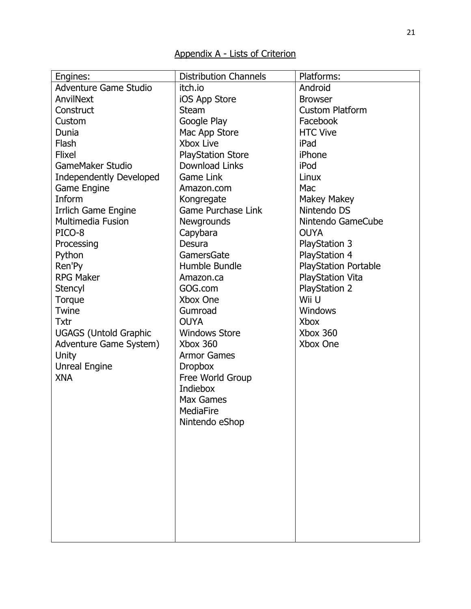| Engines:                       | <b>Distribution Channels</b> | Platforms:                  |
|--------------------------------|------------------------------|-----------------------------|
| <b>Adventure Game Studio</b>   | itch.io                      | Android                     |
| AnvilNext                      | iOS App Store                | <b>Browser</b>              |
| Construct                      | <b>Steam</b>                 | <b>Custom Platform</b>      |
| Custom                         | Google Play                  | Facebook                    |
| Dunia                          | Mac App Store                | <b>HTC Vive</b>             |
| Flash                          | Xbox Live                    | iPad                        |
| <b>Flixel</b>                  | <b>PlayStation Store</b>     | iPhone                      |
| <b>GameMaker Studio</b>        | <b>Download Links</b>        | iPod                        |
| <b>Independently Developed</b> | <b>Game Link</b>             | Linux                       |
| Game Engine                    | Amazon.com                   | Mac                         |
| Inform                         | Kongregate                   | Makey Makey                 |
| Irrlich Game Engine            | <b>Game Purchase Link</b>    | Nintendo DS                 |
| <b>Multimedia Fusion</b>       | Newgrounds                   | Nintendo GameCube           |
| PICO-8                         | Capybara                     | <b>OUYA</b>                 |
| Processing                     | Desura                       | PlayStation 3               |
| Python                         | GamersGate                   | <b>PlayStation 4</b>        |
| Ren'Py                         | Humble Bundle                | <b>PlayStation Portable</b> |
| <b>RPG Maker</b>               | Amazon.ca                    | <b>PlayStation Vita</b>     |
| Stencyl                        | GOG.com                      | <b>PlayStation 2</b>        |
| Torque                         | Xbox One                     | Wii U                       |
| Twine                          | Gumroad                      | <b>Windows</b>              |
| <b>Txtr</b>                    | <b>OUYA</b>                  | <b>Xbox</b>                 |
| <b>UGAGS (Untold Graphic</b>   | <b>Windows Store</b>         | Xbox 360                    |
| Adventure Game System)         | Xbox 360                     | Xbox One                    |
| Unity                          | <b>Armor Games</b>           |                             |
| <b>Unreal Engine</b>           | <b>Dropbox</b>               |                             |
| <b>XNA</b>                     | Free World Group             |                             |
|                                | Indiebox                     |                             |
|                                | Max Games                    |                             |
|                                | MediaFire                    |                             |
|                                | Nintendo eShop               |                             |
|                                |                              |                             |
|                                |                              |                             |
|                                |                              |                             |
|                                |                              |                             |
|                                |                              |                             |
|                                |                              |                             |
|                                |                              |                             |
|                                |                              |                             |
|                                |                              |                             |
|                                |                              |                             |